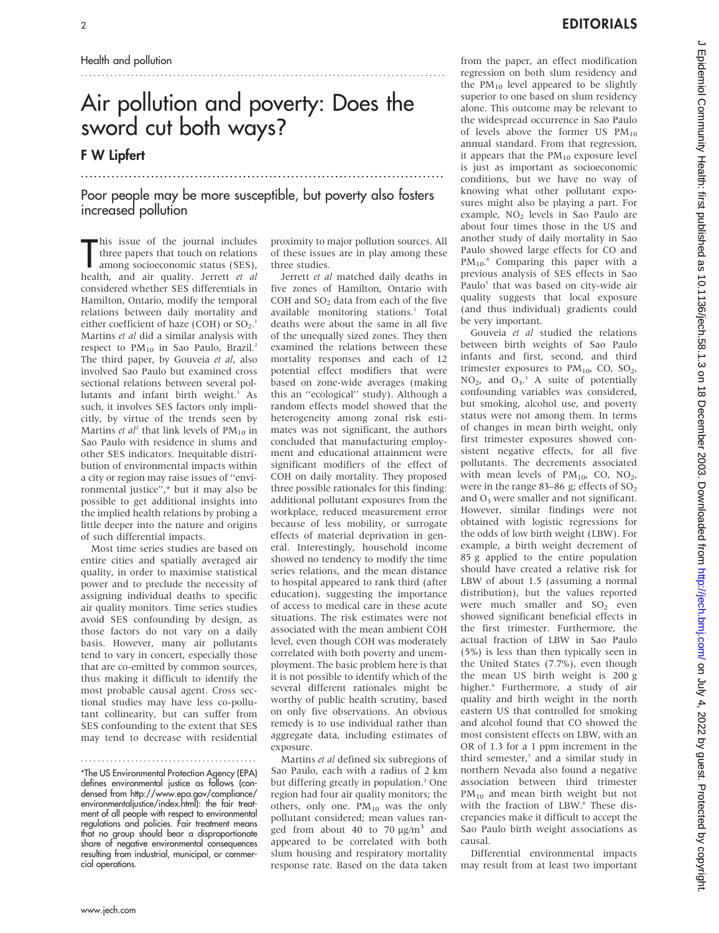# Air pollution and poverty: Does the sword cut both ways?

.......................................................................................

## F W Lipfert

### Poor people may be more susceptible, but poverty also fosters increased pollution

...................................................................................

This issue of the journal includes<br>three papers that touch on relations<br>among socioeconomic status (SES),<br>health, and air quality. Jerrett *et al* his issue of the journal includes three papers that touch on relations among socioeconomic status (SES), considered whether SES differentials in Hamilton, Ontario, modify the temporal relations between daily mortality and either coefficient of haze (COH) or  $SO_2$ .<sup>1</sup> Martins et al did a similar analysis with respect to  $PM_{10}$  in Sao Paulo, Brazil.<sup>2</sup> The third paper, by Gouveia et al, also involved Sao Paulo but examined cross sectional relations between several pollutants and infant birth weight.<sup>3</sup> As such, it involves SES factors only implicitly, by virtue of the trends seen by Martins *et al*<sup>2</sup> that link levels of  $PM_{10}$  in Sao Paulo with residence in slums and other SES indicators. Inequitable distribution of environmental impacts within a city or region may raise issues of ''environmental justice'',\* but it may also be possible to get additional insights into the implied health relations by probing a little deeper into the nature and origins of such differential impacts.

Most time series studies are based on entire cities and spatially averaged air quality, in order to maximise statistical power and to preclude the necessity of assigning individual deaths to specific air quality monitors. Time series studies avoid SES confounding by design, as those factors do not vary on a daily basis. However, many air pollutants tend to vary in concert, especially those that are co-emitted by common sources, thus making it difficult to identify the most probable causal agent. Cross sectional studies may have less co-pollutant collinearity, but can suffer from SES confounding to the extent that SES may tend to decrease with residential proximity to major pollution sources. All of these issues are in play among these three studies.

Jerrett et al matched daily deaths in five zones of Hamilton, Ontario with COH and  $SO<sub>2</sub>$  data from each of the five available monitoring stations.<sup>1</sup> Total deaths were about the same in all five of the unequally sized zones. They then examined the relations between these mortality responses and each of 12 potential effect modifiers that were based on zone-wide averages (making this an ''ecological'' study). Although a random effects model showed that the heterogeneity among zonal risk estimates was not significant, the authors concluded that manufacturing employment and educational attainment were significant modifiers of the effect of COH on daily mortality. They proposed three possible rationales for this finding: additional pollutant exposures from the workplace, reduced measurement error because of less mobility, or surrogate effects of material deprivation in general. Interestingly, household income showed no tendency to modify the time series relations, and the mean distance to hospital appeared to rank third (after education), suggesting the importance of access to medical care in these acute situations. The risk estimates were not associated with the mean ambient COH level, even though COH was moderately correlated with both poverty and unemployment. The basic problem here is that it is not possible to identify which of the several different rationales might be worthy of public health scrutiny, based on only five observations. An obvious remedy is to use individual rather than aggregate data, including estimates of exposure.

Martins et al defined six subregions of Sao Paulo, each with a radius of 2 km but differing greatly in population.<sup>2</sup> One region had four air quality monitors; the others, only one.  $PM_{10}$  was the only pollutant considered; mean values ranged from about 40 to 70  $\mu$ g/m<sup>3</sup> and appeared to be correlated with both slum housing and respiratory mortality response rate. Based on the data taken

from the paper, an effect modification regression on both slum residency and the  $PM_{10}$  level appeared to be slightly superior to one based on slum residency alone. This outcome may be relevant to the widespread occurrence in Sao Paulo of levels above the former US  $PM_{10}$ annual standard. From that regression, it appears that the  $PM_{10}$  exposure level is just as important as socioeconomic conditions, but we have no way of knowing what other pollutant exposures might also be playing a part. For example, NO<sub>2</sub> levels in Sao Paulo are about four times those in the US and another study of daily mortality in Sao Paulo showed large effects for CO and PM<sub>10</sub>.<sup>4</sup> Comparing this paper with a previous analysis of SES effects in Sao Paulo<sup>5</sup> that was based on city-wide air quality suggests that local exposure (and thus individual) gradients could be very important.

Gouveia et al studied the relations between birth weights of Sao Paulo infants and first, second, and third trimester exposures to  $PM_{10}$ , CO, SO<sub>2</sub>,  $NO<sub>2</sub>$ , and  $O<sub>3</sub>$ .<sup>3</sup> A suite of potentially confounding variables was considered, but smoking, alcohol use, and poverty status were not among them. In terms of changes in mean birth weight, only first trimester exposures showed consistent negative effects, for all five pollutants. The decrements associated with mean levels of  $PM_{10}$ , CO, NO<sub>2</sub>, were in the range 83–86 g; effects of  $SO<sub>2</sub>$ and  $O<sub>3</sub>$  were smaller and not significant. However, similar findings were not obtained with logistic regressions for the odds of low birth weight (LBW). For example, a birth weight decrement of 85 g applied to the entire population should have created a relative risk for LBW of about 1.5 (assuming a normal distribution), but the values reported were much smaller and  $SO_2$  even showed significant beneficial effects in the first trimester. Furthermore, the actual fraction of LBW in Sao Paulo (5%) is less than then typically seen in the United States (7.7%), even though the mean US birth weight is 200 g higher.<sup>6</sup> Furthermore, a study of air quality and birth weight in the north eastern US that controlled for smoking and alcohol found that CO showed the most consistent effects on LBW, with an OR of 1.3 for a 1 ppm increment in the third semester,<sup>7</sup> and a similar study in northern Nevada also found a negative association between third trimester PM<sub>10</sub> and mean birth weight but not with the fraction of LBW.<sup>8</sup> These discrepancies make it difficult to accept the Sao Paulo birth weight associations as causal.

Differential environmental impacts may result from at least two important

<sup>..........................................</sup>

<sup>\*</sup>The US Environmental Protection Agency (EPA) defines environmental justice as follows (condensed from http://www.epa.gov/compliance/ environmentaljustice/index.html): the fair treatment of all people with respect to environmental regulations and policies. Fair treatment means that no group should bear a disproportionate share of negative environmental consequences resulting from industrial, municipal, or commercial operations.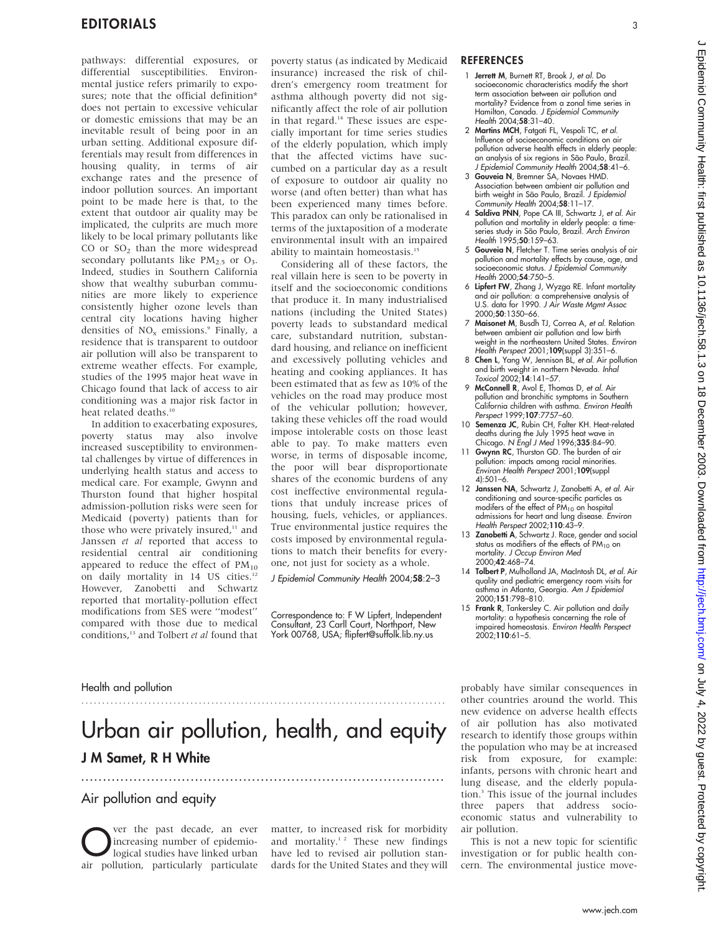pathways: differential exposures, or differential susceptibilities. Environmental justice refers primarily to exposures; note that the official definition\* does not pertain to excessive vehicular or domestic emissions that may be an inevitable result of being poor in an urban setting. Additional exposure differentials may result from differences in housing quality, in terms of air exchange rates and the presence of indoor pollution sources. An important point to be made here is that, to the extent that outdoor air quality may be implicated, the culprits are much more likely to be local primary pollutants like  $CO$  or  $SO<sub>2</sub>$  than the more widespread secondary pollutants like  $PM_{2.5}$  or  $O_3$ . Indeed, studies in Southern California show that wealthy suburban communities are more likely to experience consistently higher ozone levels than central city locations having higher densities of  $NO<sub>x</sub>$  emissions.<sup>9</sup> Finally, a residence that is transparent to outdoor air pollution will also be transparent to extreme weather effects. For example, studies of the 1995 major heat wave in Chicago found that lack of access to air conditioning was a major risk factor in heat related deaths.<sup>10</sup>

In addition to exacerbating exposures, poverty status may also involve increased susceptibility to environmental challenges by virtue of differences in underlying health status and access to medical care. For example, Gwynn and Thurston found that higher hospital admission-pollution risks were seen for Medicaid (poverty) patients than for those who were privately insured,<sup>11</sup> and Janssen et al reported that access to residential central air conditioning appeared to reduce the effect of  $PM_{10}$ on daily mortality in 14 US cities.<sup>12</sup> However, Zanobetti and Schwartz reported that mortality-pollution effect modifications from SES were ''modest'' compared with those due to medical conditions,<sup>13</sup> and Tolbert et al found that poverty status (as indicated by Medicaid insurance) increased the risk of children's emergency room treatment for asthma although poverty did not significantly affect the role of air pollution in that regard.<sup>14</sup> These issues are especially important for time series studies of the elderly population, which imply that the affected victims have succumbed on a particular day as a result of exposure to outdoor air quality no worse (and often better) than what has been experienced many times before. This paradox can only be rationalised in terms of the juxtaposition of a moderate environmental insult with an impaired ability to maintain homeostasis.15

Considering all of these factors, the real villain here is seen to be poverty in itself and the socioeconomic conditions that produce it. In many industrialised nations (including the United States) poverty leads to substandard medical care, substandard nutrition, substandard housing, and reliance on inefficient and excessively polluting vehicles and heating and cooking appliances. It has been estimated that as few as 10% of the vehicles on the road may produce most of the vehicular pollution; however, taking these vehicles off the road would impose intolerable costs on those least able to pay. To make matters even worse, in terms of disposable income, the poor will bear disproportionate shares of the economic burdens of any cost ineffective environmental regulations that unduly increase prices of housing, fuels, vehicles, or appliances. True environmental justice requires the costs imposed by environmental regulations to match their benefits for everyone, not just for society as a whole.

J Epidemiol Community Health 2004;58:2–3

Correspondence to: F W Lipfert, Independent Consultant, 23 Carll Court, Northport, New York 00768, USA; flipfert@suffolk.lib.ny.us

.......................................................................................

#### REFERENCES

- 1 **Jerrett M**, Burnett RT, Brook J, et al. Do. socioeconomic characteristics modify the short term association between air pollution and mortality? Evidence from a zonal time series in Hamilton, Canada. J Epidemiol Community Health 2004;58:31–40.
- 2 Martins MCH, Fatgati FL, Vespoli TC, et al. Influence of socioeconomic conditions on air pollution adverse health effects in elderly people: an analysis of six regions in São Paulo, Brazil. J Epidemiol Community Health 2004;58:41–6.
- 3 Gouveia N, Bremner SA, Novaes HMD. Association between ambient air pollution and birth weight in São Paulo, Brazil. J Epidemiol Community Health 2004;58:11–17.
- 4 Saldiva PNN, Pope CA III, Schwartz J, et al. Air pollution and mortality in elderly people: a timeseries study in São Paulo, Brazil. *Arch Environ*<br>Health 1995;**50**:159–63.
- 5 Gouveia N, Fletcher T. Time series analysis of air pollution and mortality effects by cause, age, and socioeconomic status. J Epidemiol Community Health 2000;54:750–5.
- 6 Lipfert FW, Zhang J, Wyzga RE. Infant mortality and air pollution: a comprehensive analysis of U.S. data for 1990. J Air Waste Mgmt Assoc 2000;50:1350–66.
- 7 Maisonet M, Busdh TJ, Correa A, et al. Relation between ambient air pollution and low birth weight in the northeastern United States. Environ Health Perspect 2001;109(suppl 3):351–6.
- 8 Chen L, Yang W, Jennison BL, et al. Air pollution and birth weight in northern Nevada. Inhal Toxicol 2002;14:141–57.
- 9 McConnell R, Avol E, Thomas D, et al. Air pollution and bronchitic symptoms in Southern California children with asthma. Environ Health Perspect 1999;107:7757–60.
- 10 Semenza JC, Rubin CH, Falter KH. Heat-related deaths during the July 1995 heat wave in Chicago. N Engl J Med 1996;335:84-90.
- 11 Gwynn RC, Thurston GD. The burden of air pollution: impacts among racial minorities. Environ Health Perspect 2001;109(suppl  $41.501 - 6$
- 12 Janssen NA, Schwartz J, Zanobetti A, et al. Air conditioning and source-specific particles as modifers of the effect of  $PM<sub>10</sub>$  on hospital admissions for heart and lung disease. Environ Health Perspect 2002;110:43–9.
- 13 Zanobetti A, Schwartz J. Race, gender and social status as modifiers of the effects of  $PM_{10}$  on mortality. J Occup Environ Med 2000;42:468–74.
- 14 Tolbert P, Mulholland JA, MacIntosh DL, et al. Air quality and pediatric emergency room visits for asthma in Atlanta, Georgia. Am J Epidemiol 2000;151:798–810.
- 15 Frank R, Tankersley C. Air pollution and daily mortality: a hypothesis concerning the role of impaired homeostasis. Environ Health Perspect 2002;110:61–5.

Health and pollution

## Urban air pollution, health, and equity J M Samet, R H White

...................................................................................

### Air pollution and equity

The past decade, an ever<br>
increasing number of epidemio-<br>
logical studies have linked urban<br>
air pollution particularly particulate increasing number of epidemiological studies have linked urban air pollution, particularly particulate matter, to increased risk for morbidity and mortality.<sup>12</sup> These new findings have led to revised air pollution standards for the United States and they will

probably have similar consequences in other countries around the world. This new evidence on adverse health effects of air pollution has also motivated research to identify those groups within the population who may be at increased risk from exposure, for example: infants, persons with chronic heart and lung disease, and the elderly population.3 This issue of the journal includes three papers that address socioeconomic status and vulnerability to air pollution.

This is not a new topic for scientific investigation or for public health concern. The environmental justice move-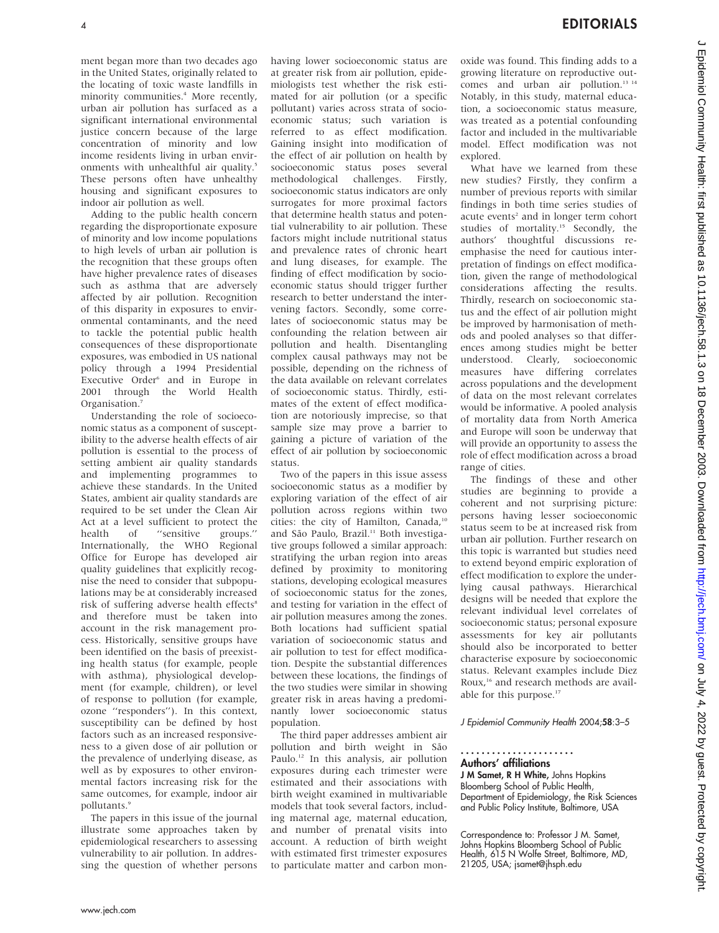ment began more than two decades ago in the United States, originally related to the locating of toxic waste landfills in minority communities.4 More recently, urban air pollution has surfaced as a significant international environmental justice concern because of the large concentration of minority and low income residents living in urban environments with unhealthful air quality.<sup>5</sup> These persons often have unhealthy housing and significant exposures to indoor air pollution as well.

Adding to the public health concern regarding the disproportionate exposure of minority and low income populations to high levels of urban air pollution is the recognition that these groups often have higher prevalence rates of diseases such as asthma that are adversely affected by air pollution. Recognition of this disparity in exposures to environmental contaminants, and the need to tackle the potential public health consequences of these disproportionate exposures, was embodied in US national policy through a 1994 Presidential Executive Order<sup>6</sup> and in Europe in 2001 through the World Health Organisation.7

Understanding the role of socioeconomic status as a component of susceptibility to the adverse health effects of air pollution is essential to the process of setting ambient air quality standards and implementing programmes to achieve these standards. In the United States, ambient air quality standards are required to be set under the Clean Air Act at a level sufficient to protect the health of ''sensitive groups.'' Internationally, the WHO Regional Office for Europe has developed air quality guidelines that explicitly recognise the need to consider that subpopulations may be at considerably increased risk of suffering adverse health effects<sup>8</sup> and therefore must be taken into account in the risk management process. Historically, sensitive groups have been identified on the basis of preexisting health status (for example, people with asthma), physiological development (for example, children), or level of response to pollution (for example, ozone ''responders''). In this context, susceptibility can be defined by host factors such as an increased responsiveness to a given dose of air pollution or the prevalence of underlying disease, as well as by exposures to other environmental factors increasing risk for the same outcomes, for example, indoor air pollutants.9

The papers in this issue of the journal illustrate some approaches taken by epidemiological researchers to assessing vulnerability to air pollution. In addressing the question of whether persons having lower socioeconomic status are at greater risk from air pollution, epidemiologists test whether the risk estimated for air pollution (or a specific pollutant) varies across strata of socioeconomic status; such variation is referred to as effect modification. Gaining insight into modification of the effect of air pollution on health by socioeconomic status poses several methodological challenges. Firstly, socioeconomic status indicators are only surrogates for more proximal factors that determine health status and potential vulnerability to air pollution. These factors might include nutritional status and prevalence rates of chronic heart and lung diseases, for example. The finding of effect modification by socioeconomic status should trigger further research to better understand the intervening factors. Secondly, some correlates of socioeconomic status may be confounding the relation between air pollution and health. Disentangling complex causal pathways may not be possible, depending on the richness of the data available on relevant correlates of socioeconomic status. Thirdly, estimates of the extent of effect modification are notoriously imprecise, so that sample size may prove a barrier to gaining a picture of variation of the effect of air pollution by socioeconomic status.

Two of the papers in this issue assess socioeconomic status as a modifier by exploring variation of the effect of air pollution across regions within two cities: the city of Hamilton, Canada,<sup>10</sup> and São Paulo, Brazil.<sup>11</sup> Both investigative groups followed a similar approach: stratifying the urban region into areas defined by proximity to monitoring stations, developing ecological measures of socioeconomic status for the zones, and testing for variation in the effect of air pollution measures among the zones. Both locations had sufficient spatial variation of socioeconomic status and air pollution to test for effect modification. Despite the substantial differences between these locations, the findings of the two studies were similar in showing greater risk in areas having a predominantly lower socioeconomic status population.

The third paper addresses ambient air pollution and birth weight in São Paulo.<sup>12</sup> In this analysis, air pollution exposures during each trimester were estimated and their associations with birth weight examined in multivariable models that took several factors, including maternal age, maternal education, and number of prenatal visits into account. A reduction of birth weight with estimated first trimester exposures to particulate matter and carbon monoxide was found. This finding adds to a growing literature on reproductive outcomes and urban air pollution.<sup>13 14</sup> Notably, in this study, maternal education, a socioeconomic status measure, was treated as a potential confounding factor and included in the multivariable model. Effect modification was not explored.

What have we learned from these new studies? Firstly, they confirm a number of previous reports with similar findings in both time series studies of acute events<sup>2</sup> and in longer term cohort studies of mortality.<sup>15</sup> Secondly, the authors' thoughtful discussions reemphasise the need for cautious interpretation of findings on effect modification, given the range of methodological considerations affecting the results. Thirdly, research on socioeconomic status and the effect of air pollution might be improved by harmonisation of methods and pooled analyses so that differences among studies might be better understood. Clearly, socioeconomic measures have differing correlates across populations and the development of data on the most relevant correlates would be informative. A pooled analysis of mortality data from North America and Europe will soon be underway that will provide an opportunity to assess the role of effect modification across a broad range of cities.

The findings of these and other studies are beginning to provide a coherent and not surprising picture: persons having lesser socioeconomic status seem to be at increased risk from urban air pollution. Further research on this topic is warranted but studies need to extend beyond empiric exploration of effect modification to explore the underlying causal pathways. Hierarchical designs will be needed that explore the relevant individual level correlates of socioeconomic status; personal exposure assessments for key air pollutants should also be incorporated to better characterise exposure by socioeconomic status. Relevant examples include Diez Roux,<sup>16</sup> and research methods are available for this purpose.<sup>17</sup>

J Epidemiol Community Health 2004;58:3–5

#### Authors' affiliations ......................

J M Samet, R H White, Johns Hopkins Bloomberg School of Public Health, Department of Epidemiology, the Risk Sciences and Public Policy Institute, Baltimore, USA

Correspondence to: Professor J M. Samet, Johns Hopkins Bloomberg School of Public Health, 615 N Wolfe Street, Baltimore, MD, 21205, USA; jsamet@jhsph.edu